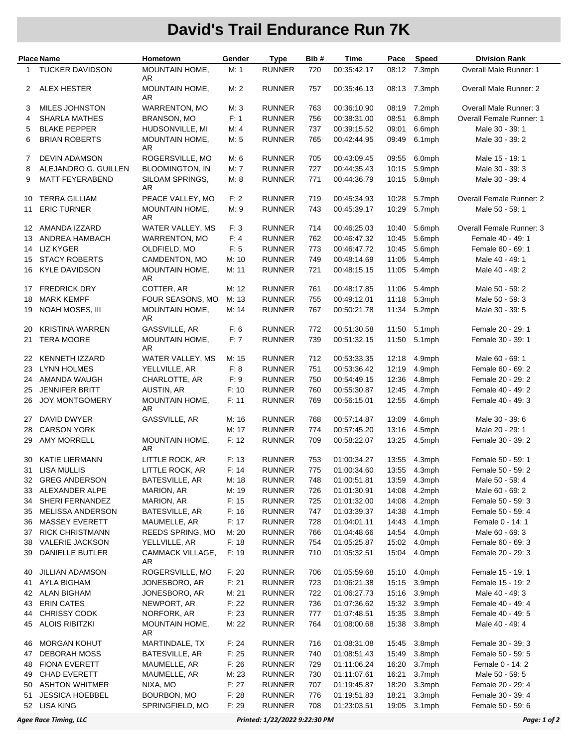## **David's Trail Endurance Run 7K**

| Place Name |                                        | Hometown                       | Gender         | <b>Type</b>                    | Bib#       | Time                       |                | Pace Speed       | <b>Division Rank</b>                   |
|------------|----------------------------------------|--------------------------------|----------------|--------------------------------|------------|----------------------------|----------------|------------------|----------------------------------------|
| 1          | <b>TUCKER DAVIDSON</b>                 | MOUNTAIN HOME,<br>AR           | M: 1           | <b>RUNNER</b>                  | 720        | 00:35:42.17                | 08:12          | 7.3mph           | Overall Male Runner: 1                 |
| 2          | ALEX HESTER                            | MOUNTAIN HOME,<br>AR           | M: 2           | <b>RUNNER</b>                  | 757        | 00:35:46.13                | 08:13          | 7.3mph           | <b>Overall Male Runner: 2</b>          |
| 3          | MILES JOHNSTON                         | <b>WARRENTON, MO</b>           | M:3            | <b>RUNNER</b>                  | 763        | 00:36:10.90                | 08:19          | 7.2mph           | Overall Male Runner: 3                 |
| 4          | <b>SHARLA MATHES</b>                   | <b>BRANSON, MO</b>             | F: 1           | <b>RUNNER</b>                  | 756        | 00:38:31.00                | 08:51          | 6.8mph           | <b>Overall Female Runner: 1</b>        |
| 5          | <b>BLAKE PEPPER</b>                    | HUDSONVILLE, MI                | M: 4           | <b>RUNNER</b>                  | 737        | 00:39:15.52                | 09:01          | 6.6mph           | Male 30 - 39: 1                        |
| 6          | <b>BRIAN ROBERTS</b>                   | MOUNTAIN HOME,<br>AR           | M: 5           | <b>RUNNER</b>                  | 765        | 00:42:44.95                | 09:49          | 6.1mph           | Male 30 - 39: 2                        |
| 7          | <b>DEVIN ADAMSON</b>                   | ROGERSVILLE, MO                | M: 6           | <b>RUNNER</b>                  | 705        | 00:43:09.45                | 09:55          | 6.0mph           | Male 15 - 19: 1                        |
| 8          | ALEJANDRO G. GUILLEN                   | <b>BLOOMINGTON, IN</b>         | M: 7           | <b>RUNNER</b>                  | 727        | 00:44:35.43                | 10:15          | 5.9mph           | Male 30 - 39: 3                        |
| 9          | <b>MATT FEYERABEND</b>                 | SILOAM SPRINGS,<br>AR          | M: 8           | <b>RUNNER</b>                  | 771        | 00:44:36.79                | 10:15          | 5.8mph           | Male 30 - 39: 4                        |
| 10         | <b>TERRA GILLIAM</b>                   | PEACE VALLEY, MO               | F: 2           | <b>RUNNER</b>                  | 719        | 00:45:34.93                | 10:28          | 5.7mph           | Overall Female Runner: 2               |
| 11         | <b>ERIC TURNER</b>                     | <b>MOUNTAIN HOME,</b><br>AR    | M: 9           | <b>RUNNER</b>                  | 743        | 00:45:39.17                | 10:29          | 5.7mph           | Male 50 - 59: 1                        |
| 12         | AMANDA IZZARD                          | WATER VALLEY, MS               | F: 3           | <b>RUNNER</b>                  | 714        | 00:46:25.03                | 10:40          | 5.6mph           | Overall Female Runner: 3               |
| 13         | ANDREA HAMBACH                         | <b>WARRENTON, MO</b>           | F: 4           | <b>RUNNER</b>                  | 762        | 00:46:47.32                | 10:45          | 5.6mph           | Female 40 - 49: 1                      |
| 14         | <b>LIZ KYGER</b>                       | OLDFIELD, MO                   | F: 5           | <b>RUNNER</b>                  | 773        | 00:46:47.72                | 10:45          | 5.6mph           | Female 60 - 69: 1                      |
| 15         | <b>STACY ROBERTS</b>                   | CAMDENTON, MO                  | M: 10          | <b>RUNNER</b>                  | 749        | 00:48:14.69                | 11:05          | 5.4mph           | Male 40 - 49: 1                        |
| 16         | <b>KYLE DAVIDSON</b>                   | MOUNTAIN HOME,<br>AR           | M: 11          | <b>RUNNER</b>                  | 721        | 00:48:15.15                | 11:05          | 5.4mph           | Male 40 - 49: 2                        |
| 17         | <b>FREDRICK DRY</b>                    | COTTER, AR                     | M: 12          | <b>RUNNER</b>                  | 761        | 00:48:17.85                | 11:06          | 5.4mph           | Male 50 - 59: 2                        |
| 18         | <b>MARK KEMPF</b>                      | FOUR SEASONS, MO               | M: 13          | <b>RUNNER</b>                  | 755        | 00:49:12.01                | 11:18          | 5.3mph           | Male 50 - 59: 3                        |
| 19         | <b>NOAH MOSES, III</b>                 | MOUNTAIN HOME,<br>AR           | M: 14          | <b>RUNNER</b>                  | 767        | 00:50:21.78                | 11:34          | 5.2mph           | Male 30 - 39: 5                        |
| 20         | <b>KRISTINA WARREN</b>                 | GASSVILLE, AR                  | F: 6           | <b>RUNNER</b>                  | 772        | 00:51:30.58                | 11:50          | 5.1mph           | Female 20 - 29: 1                      |
| 21         | <b>TERA MOORE</b>                      | <b>MOUNTAIN HOME,</b><br>AR    | F:7            | <b>RUNNER</b>                  | 739        | 00:51:32.15                | 11:50          | 5.1mph           | Female 30 - 39: 1                      |
| 22         | <b>KENNETH IZZARD</b>                  | WATER VALLEY, MS               | M: 15          | <b>RUNNER</b>                  | 712        | 00:53:33.35                | 12:18          | 4.9mph           | Male 60 - 69: 1                        |
| 23         | <b>LYNN HOLMES</b>                     | YELLVILLE, AR                  | F: 8           | <b>RUNNER</b>                  | 751        | 00:53:36.42                | 12:19          | 4.9mph           | Female 60 - 69: 2                      |
| 24         | AMANDA WAUGH                           | CHARLOTTE, AR                  | F: 9           | <b>RUNNER</b>                  | 750        | 00:54:49.15                | 12:36          | 4.8mph           | Female 20 - 29: 2                      |
| 25         | <b>JENNIFER BRITT</b>                  | AUSTIN, AR                     | F: 10          | <b>RUNNER</b>                  | 760        | 00:55:30.87                | 12:45          | 4.7mph           | Female 40 - 49: 2                      |
| 26         | <b>JOY MONTGOMERY</b>                  | MOUNTAIN HOME,<br>AR           | F: 11          | <b>RUNNER</b>                  | 769        | 00:56:15.01                | 12:55          | 4.6mph           | Female 40 - 49: 3                      |
| 27         | DAVID DWYER                            | GASSVILLE, AR                  | M: 16          | <b>RUNNER</b>                  | 768        | 00:57:14.87                | 13:09          | 4.6mph           | Male 30 - 39: 6                        |
| 28         | <b>CARSON YORK</b>                     |                                | M: 17          | <b>RUNNER</b>                  | 774        | 00:57:45.20                | 13:16          | 4.5mph           | Male 20 - 29: 1                        |
|            | 29 AMY MORRELL                         | MOUNTAIN HOME,<br>AR           | F: 12          | <b>RUNNER</b>                  | 709        | 00:58:22.07                | 13:25          | 4.5mph           | Female 30 - 39: 2                      |
| 30         | <b>KATIE LIERMANN</b>                  | LITTLE ROCK, AR                | F: 13          | <b>RUNNER</b>                  | 753        | 01:00:34.27                | 13:55          | 4.3mph           | Female 50 - 59: 1                      |
| 31         | LISA MULLIS                            | LITTLE ROCK, AR                | F: 14          | <b>RUNNER</b>                  | 775        | 01:00:34.60                |                | 13:55 4.3mph     | Female 50 - 59: 2                      |
| 32         | <b>GREG ANDERSON</b>                   | BATESVILLE, AR                 | M: 18          | <b>RUNNER</b>                  | 748        | 01:00:51.81                | 13:59          | 4.3mph           | Male 50 - 59: 4                        |
| 33         | ALEXANDER ALPE                         | MARION, AR                     | M: 19          | <b>RUNNER</b>                  | 726        | 01:01:30.91                | 14:08          | 4.2mph           | Male 60 - 69: 2                        |
| 34         | SHERI FERNANDEZ                        | MARION, AR                     | F: 15          | <b>RUNNER</b>                  | 725        | 01:01:32.00                | 14:08          | 4.2mph           | Female 50 - 59: 3                      |
| 35         | <b>MELISSA ANDERSON</b>                | BATESVILLE, AR                 | F: 16          | <b>RUNNER</b>                  | 747        | 01:03:39.37                | 14:38          | 4.1mph           | Female 50 - 59: 4                      |
| 36         | <b>MASSEY EVERETT</b>                  | MAUMELLE, AR                   | F: 17          | <b>RUNNER</b>                  | 728        | 01:04:01.11                | 14:43          | 4.1mph           | Female 0 - 14: 1                       |
| 37         | <b>RICK CHRISTMANN</b>                 | REEDS SPRING, MO               | M: 20          | <b>RUNNER</b>                  | 766        | 01:04:48.66                | 14:54          | 4.0mph           | Male 60 - 69: 3                        |
| 38         | <b>VALERIE JACKSON</b>                 | YELLVILLE, AR                  | F: 18          | <b>RUNNER</b>                  | 754        | 01:05:25.87                | 15:02          | 4.0mph           | Female 60 - 69: 3                      |
| 39         | DANIELLE BUTLER                        | CAMMACK VILLAGE,<br>AR         | F: 19          | <b>RUNNER</b>                  | 710        | 01:05:32.51                | 15:04          | 4.0mph           | Female 20 - 29: 3                      |
| 40         | <b>JILLIAN ADAMSON</b>                 | ROGERSVILLE, MO                | F: 20          | <b>RUNNER</b>                  | 706        | 01:05:59.68                | 15:10          | 4.0mph           | Female 15 - 19: 1                      |
| 41         | AYLA BIGHAM                            | JONESBORO, AR                  | F: 21          | <b>RUNNER</b>                  | 723        | 01:06:21.38                | 15:15          | 3.9mph           | Female 15 - 19: 2                      |
| 42         | <b>ALAN BIGHAM</b>                     | JONESBORO, AR                  | M: 21          | <b>RUNNER</b>                  | 722        | 01:06:27.73                | 15:16          | 3.9mph           | Male 40 - 49: 3                        |
| 43         | <b>ERIN CATES</b>                      | NEWPORT, AR                    | F: 22          | <b>RUNNER</b>                  | 736        | 01:07:36.62                | 15:32          | 3.9mph           | Female 40 - 49: 4                      |
| 44         | <b>CHRISSY COOK</b>                    | NORFORK, AR                    | F: 23          | <b>RUNNER</b>                  | 777        | 01:07:48.51                | 15:35          | 3.8mph           | Female 40 - 49: 5                      |
| 45         | <b>ALOIS RIBITZKI</b>                  | <b>MOUNTAIN HOME,</b><br>AR    | M: 22          | <b>RUNNER</b>                  | 764        | 01:08:00.68                | 15:38          | 3.8mph           | Male 40 - 49: 4                        |
| 46         | <b>MORGAN KOHUT</b>                    | MARTINDALE, TX                 | F: 24          | <b>RUNNER</b>                  | 716        | 01:08:31.08                | 15:45          | 3.8mph           | Female 30 - 39: 3                      |
| 47         | <b>DEBORAH MOSS</b>                    | BATESVILLE, AR                 | F: 25          | <b>RUNNER</b>                  | 740        | 01:08:51.43                | 15:49          | 3.8mph           | Female 50 - 59: 5                      |
| 48         | <b>FIONA EVERETT</b>                   | MAUMELLE, AR                   | F:26           | <b>RUNNER</b>                  | 729        | 01:11:06.24                | 16:20          | 3.7mph           | Female 0 - 14: 2                       |
| 49         | <b>CHAD EVERETT</b>                    | MAUMELLE, AR                   | M: 23          | <b>RUNNER</b>                  | 730        | 01:11:07.61                | 16:21          | 3.7mph           | Male 50 - 59: 5                        |
| 50         | <b>ASHTON WHITMER</b>                  | NIXA, MO                       | F: 27          | <b>RUNNER</b>                  | 707        | 01:19:45.87                | 18:20          | 3.3mph           | Female 20 - 29: 4                      |
| 51         | <b>JESSICA HOEBBEL</b><br>52 LISA KING | BOURBON, MO<br>SPRINGFIELD, MO | F: 28<br>F: 29 | <b>RUNNER</b><br><b>RUNNER</b> | 776<br>708 | 01:19:51.83<br>01:23:03.51 | 18:21<br>19:05 | 3.3mph<br>3.1mph | Female 30 - 39: 4<br>Female 50 - 59: 6 |